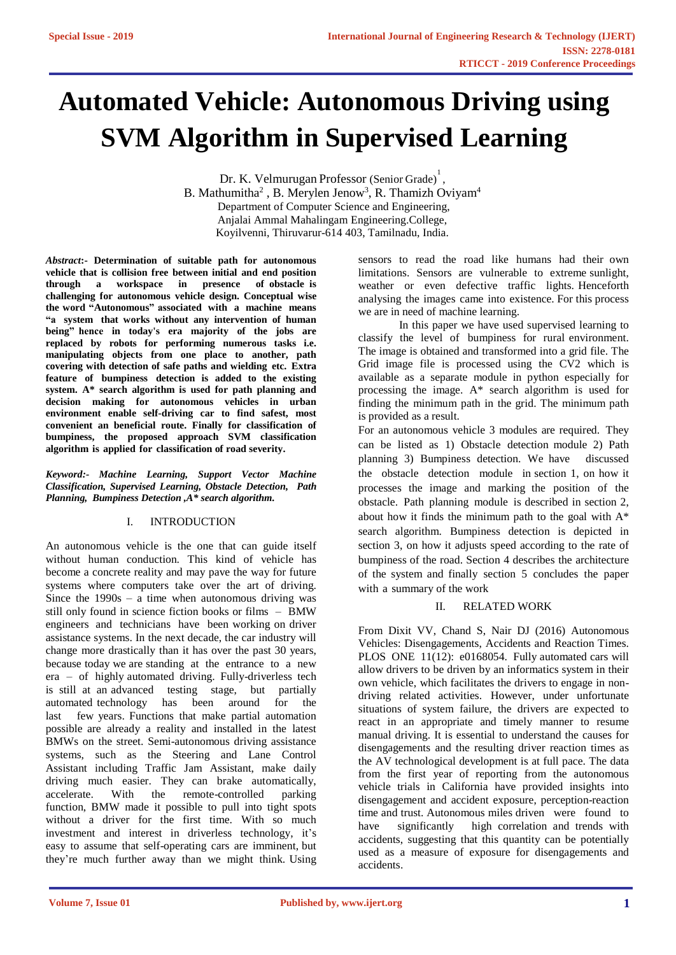# **Automated Vehicle: Autonomous Driving using SVM Algorithm in Supervised Learning**

Dr. K. Velmurugan Professor (Senior Grade)<sup>1</sup>, B. Mathumitha<sup>2</sup>, B. Merylen Jenow<sup>3</sup>, R. Thamizh Oviyam<sup>4</sup> Department of Computer Science and Engineering, Anjalai Ammal Mahalingam Engineering.College, Koyilvenni, Thiruvarur-614 403, Tamilnadu, India.

*Abstract***:- Determination of suitable path for autonomous vehicle that is collision free between initial and end position through a workspace challenging for autonomous vehicle design. Conceptual wise the word "Autonomous" associated with a machine means "a system that works without any intervention of human being" hence in today's era majority of the jobs are replaced by robots for performing numerous tasks i.e. manipulating objects from one place to another, path covering with detection of safe paths and wielding etc. Extra feature of bumpiness detection is added to the existing system. A\* search algorithm is used for path planning and decision making for autonomous vehicles in urban environment enable self-driving car to find safest, most convenient an beneficial route. Finally for classification of bumpiness, the proposed approach SVM classification algorithm is applied for classification of road severity.**

*Keyword:- Machine Learning, Support Vector Machine Classification, Supervised Learning, Obstacle Detection, Path Planning, Bumpiness Detection ,A\* search algorithm.*

### I. INTRODUCTION

An autonomous vehicle is the one that can guide itself without human conduction. This kind of vehicle has become a concrete reality and may pave the way for future systems where computers take over the art of driving. Since the  $1990s - a$  time when autonomous driving was still only found in science fiction books or films – BMW engineers and technicians have been working on driver assistance systems. In the next decade, the car industry will change more drastically than it has over the past 30 years, because today we are standing at the entrance to a new era – of highly automated driving. Fully-driverless tech is still at an advanced testing stage, but partially automated technology has been around for the last few years. Functions that make partial automation possible are already a reality and installed in the latest BMWs on the street. Semi-autonomous driving assistance systems, such as the Steering and Lane Control Assistant including Traffic Jam Assistant, make daily driving much easier. They can brake automatically, accelerate. With the remote-controlled parking function, BMW made it possible to pull into tight spots without a driver for the first time. With so much investment and interest in driverless technology, it's easy to assume that self-operating cars are imminent, but they're much further away than we might think. Using

sensors to read the road like humans had their own limitations. Sensors are vulnerable to extreme sunlight, weather or even defective traffic lights. Henceforth analysing the images came into existence. For this process we are in need of machine learning.

In this paper we have used supervised learning to classify the level of bumpiness for rural environment. The image is obtained and transformed into a grid file. The Grid image file is processed using the CV2 which is available as a separate module in python especially for processing the image. A\* search algorithm is used for finding the minimum path in the grid. The minimum path is provided as a result.

For an autonomous vehicle 3 modules are required. They can be listed as 1) Obstacle detection module 2) Path planning 3) Bumpiness detection. We have discussed the obstacle detection module in section 1, on how it processes the image and marking the position of the obstacle. Path planning module is described in section 2, about how it finds the minimum path to the goal with A\* search algorithm. Bumpiness detection is depicted in section 3, on how it adjusts speed according to the rate of bumpiness of the road. Section 4 describes the architecture of the system and finally section 5 concludes the paper with a summary of the work

### II. RELATED WORK

From Dixit VV, Chand S, Nair DJ (2016) Autonomous Vehicles: Disengagements, Accidents and Reaction Times. PLOS ONE 11(12): e0168054. Fully automated cars will allow drivers to be driven by an informatics system in their own vehicle, which facilitates the drivers to engage in nondriving related activities. However, under unfortunate situations of system failure, the drivers are expected to react in an appropriate and timely manner to resume manual driving. It is essential to understand the causes for disengagements and the resulting driver reaction times as the AV technological development is at full pace. The data from the first year of reporting from the autonomous vehicle trials in California have provided insights into disengagement and accident exposure, perception-reaction time and trust. Autonomous miles driven were found to have significantly high correlation and trends with accidents, suggesting that this quantity can be potentially used as a measure of exposure for disengagements and accidents.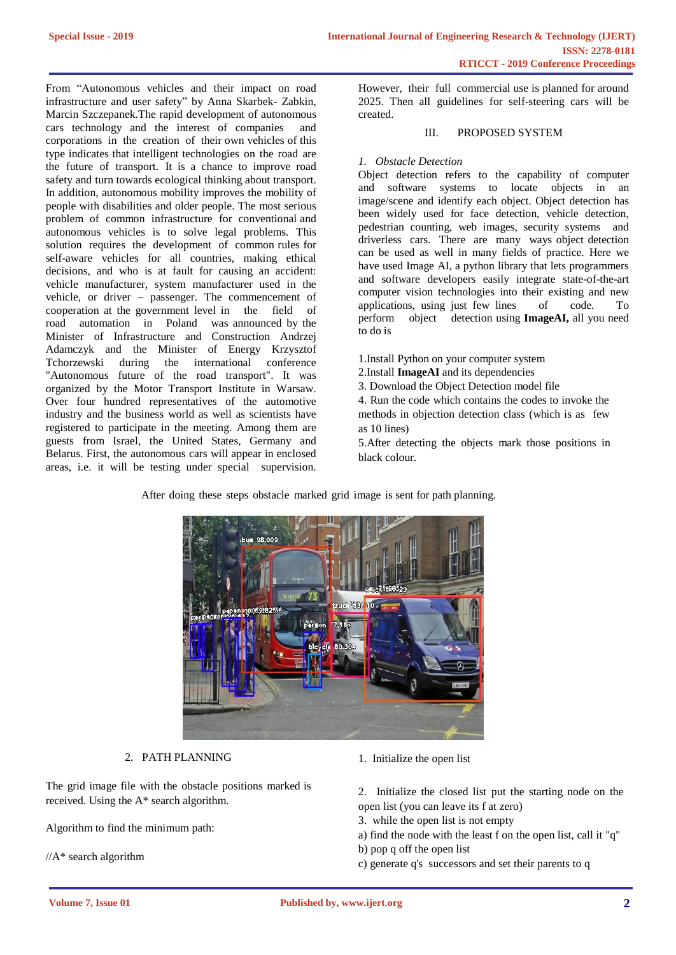From "Autonomous vehicles and their impact on road infrastructure and user safety" by Anna Skarbek- Zabkin, Marcin Szczepanek.The rapid development of autonomous cars technology and the interest of companies and corporations in the creation of their own vehicles of this type indicates that intelligent technologies on the road are the future of transport. It is a chance to improve road safety and turn towards ecological thinking about transport. In addition, autonomous mobility improves the mobility of people with disabilities and older people. The most serious problem of common infrastructure for conventional and autonomous vehicles is to solve legal problems. This solution requires the development of common rules for self-aware vehicles for all countries, making ethical decisions, and who is at fault for causing an accident: vehicle manufacturer, system manufacturer used in the vehicle, or driver – passenger. The commencement of cooperation at the government level in the field of road automation in Poland was announced by the Minister of Infrastructure and Construction Andrzej Adamczyk and the Minister of Energy Krzysztof Tchorzewski during the international conference "Autonomous future of the road transport". It was organized by the Motor Transport Institute in Warsaw. Over four hundred representatives of the automotive industry and the business world as well as scientists have registered to participate in the meeting. Among them are guests from Israel, the United States, Germany and Belarus. First, the autonomous cars will appear in enclosed areas, i.e. it will be testing under special supervision.

However, their full commercial use is planned for around 2025. Then all guidelines for self-steering cars will be created.

### III. PROPOSED SYSTEM

### *1. Obstacle Detection*

Object detection refers to the capability of computer and software systems to locate objects in an image/scene and identify each object. Object detection has been widely used for face detection, vehicle detection, pedestrian counting, web images, security systems and driverless cars. There are many ways object detection can be used as well in many fields of practice. Here we have used Image AI, a python library that lets programmers and software developers easily integrate state-of-the-art computer vision technologies into their existing and new<br>applications, using just few lines of code. To applications, using just few lines of code. To perform object detection using **ImageAI,** all you need to do is

- 1.Install Python on your computer system
- 2.Install **ImageAI** and its dependencies
- 3. Download the Object Detection model file

4. Run the code which contains the codes to invoke the methods in objection detection class (which is as few as 10 lines)

5.After detecting the objects mark those positions in black colour.

After doing these steps obstacle marked grid image is sent for path planning.



### 2. PATH PLANNING

The grid image file with the obstacle positions marked is received. Using the A\* search algorithm.

Algorithm to find the minimum path:

 $//A*$  search algorithm

1. Initialize the open list

2. Initialize the closed list put the starting node on the open list (you can leave its f at zero)

- 3. while the open list is not empty
- a) find the node with the least f on the open list, call it "q" b) pop q off the open list
- c) generate q's successors and set their parents to q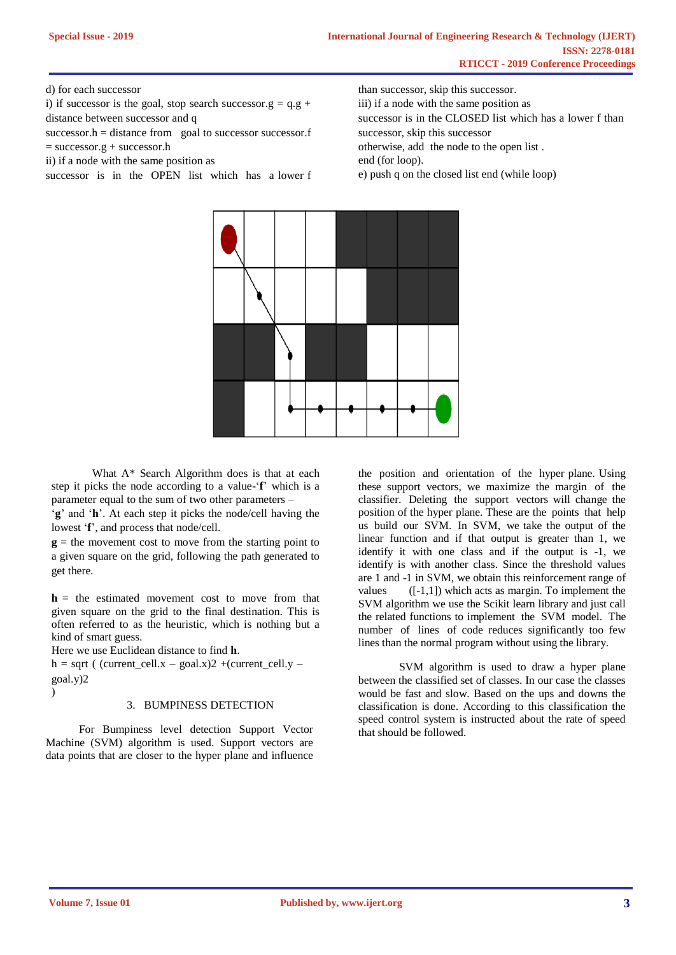d) for each successor

i) if successor is the goal, stop search successor.g =  $q.g +$ distance between successor and q

 $successor.h = distance from$  goal to successor successor.f  $=$  successor.g + successor.h

ii) if a node with the same position as

successor is in the OPEN list which has a lower f

than successor, skip this successor. iii) if a node with the same position as successor is in the CLOSED list which has a lower f than successor, skip this successor otherwise, add the node to the open list . end (for loop). e) push q on the closed list end (while loop)



What A\* Search Algorithm does is that at each step it picks the node according to a value-'**f**' which is a parameter equal to the sum of two other parameters –

'**g**' and '**h**'. At each step it picks the node/cell having the lowest '**f**', and process that node/cell.

 $g$  = the movement cost to move from the starting point to a given square on the grid, following the path generated to get there.

 $h =$  the estimated movement cost to move from that given square on the grid to the final destination. This is often referred to as the heuristic, which is nothing but a kind of smart guess.

Here we use Euclidean distance to find **h**.

 $h = sqrt$  ( (current\_cell.x – goal.x)2 +(current\_cell.y – goal.y)2

### 3. BUMPINESS DETECTION

For Bumpiness level detection Support Vector Machine (SVM) algorithm is used. Support vectors are data points that are closer to the hyper plane and influence the position and orientation of the hyper plane. Using these support vectors, we maximize the margin of the classifier. Deleting the support vectors will change the position of the hyper plane. These are the points that help us build our SVM. In SVM, we take the output of the linear function and if that output is greater than 1, we identify it with one class and if the output is -1, we identify is with another class. Since the threshold values are 1 and -1 in SVM, we obtain this reinforcement range of values  $([-1,1])$  which acts as margin. To implement the SVM algorithm we use the Scikit learn library and just call the related functions to implement the SVM model. The number of lines of code reduces significantly too few lines than the normal program without using the library.

SVM algorithm is used to draw a hyper plane between the classified set of classes. In our case the classes would be fast and slow. Based on the ups and downs the classification is done. According to this classification the speed control system is instructed about the rate of speed that should be followed.

)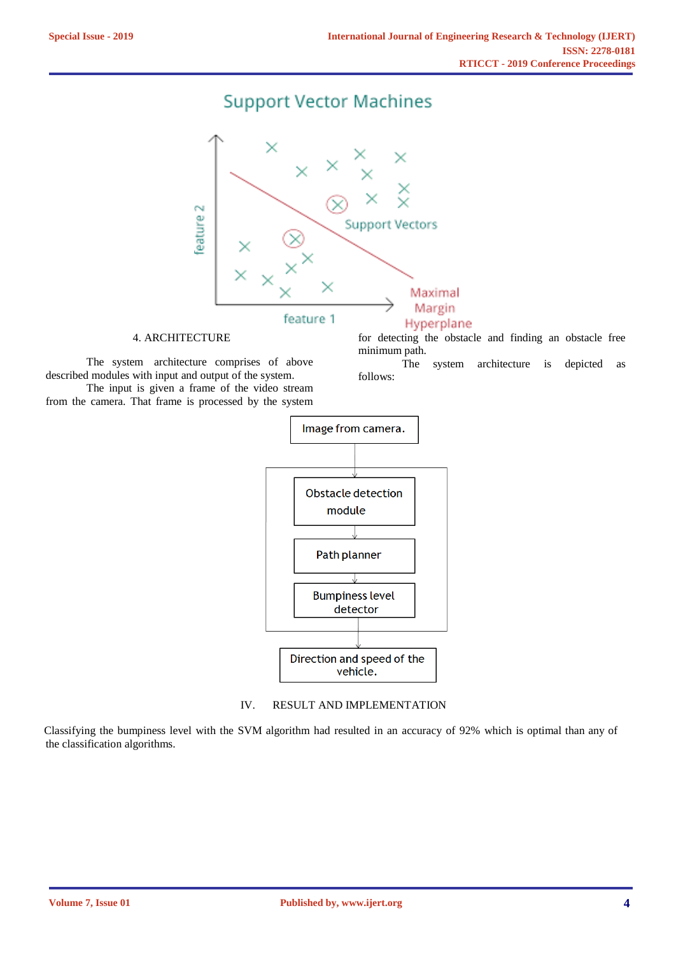## **Support Vector Machines**



### 4. ARCHITECTURE

The system architecture comprises of above described modules with input and output of the system. The input is given a frame of the video stream

from the camera. That frame is processed by the system

for detecting the obstacle and finding an obstacle free minimum path.<br>The

system architecture is depicted as follows:



### IV. RESULT AND IMPLEMENTATION

Classifying the bumpiness level with the SVM algorithm had resulted in an accuracy of 92% which is optimal than any of the classification algorithms.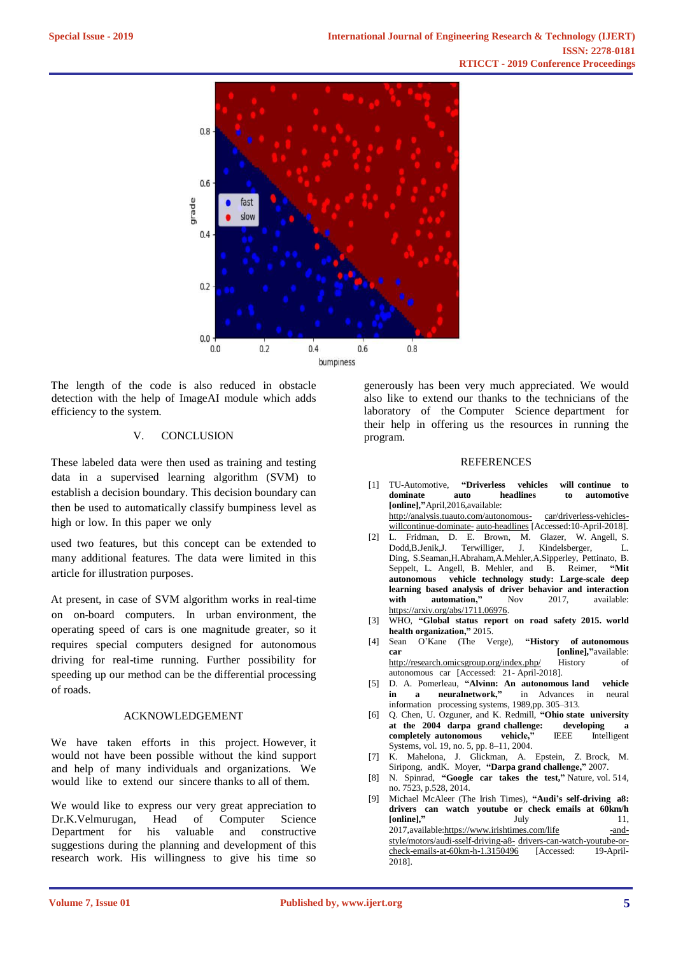

The length of the code is also reduced in obstacle detection with the help of ImageAI module which adds efficiency to the system.

### V. CONCLUSION

These labeled data were then used as training and testing data in a supervised learning algorithm (SVM) to establish a decision boundary. This decision boundary can then be used to automatically classify bumpiness level as high or low. In this paper we only

used two features, but this concept can be extended to many additional features. The data were limited in this article for illustration purposes.

At present, in case of SVM algorithm works in real-time on on-board computers. In urban environment, the operating speed of cars is one magnitude greater, so it requires special computers designed for autonomous driving for real-time running. Further possibility for speeding up our method can be the differential processing of roads.

### ACKNOWLEDGEMENT

We have taken efforts in this project. However, it would not have been possible without the kind support and help of many individuals and organizations. We would like to extend our sincere thanks to all of them.

We would like to express our very great appreciation to Dr.K.Velmurugan, Head of Computer Science Department for his valuable and constructive suggestions during the planning and development of this research work. His willingness to give his time so generously has been very much appreciated. We would also like to extend our thanks to the technicians of the laboratory of the Computer Science department for their help in offering us the resources in running the program.

#### REFERENCES

- [1] TU-Automotive, **"Driverless vehicles will continue to dominate auto headlines to automotive [online],"**April,2016,available: http://analysis.tuauto.com/autonomous- car/driverless-vehicles-
- willcontinue-dominate- [auto-headlines](http://analysis.tuauto.com/autonomous-car/driverless-vehicles-willcontinue-dominate-auto-headlines) [Accessed:10-April-2018]. [2] L. Fridman, D. E. Brown, M. Glazer, W. Angell, S.
- Dodd,B.Jenik,J. Terwilliger, J. Kindelsberger, L. Ding, S.Seaman,H.Abraham,A.Mehler,A.Sipperley, Pettinato, B. Seppelt, L. Angell, B. Mehler, and B. Reimer, **"Mit autonomous vehicle technology study: Large-scale deep learning based analysis of driver behavior and interaction with automation,"** Nov 2017, available: https://arxiv.org/abs/1711.06976.
- [3] WHO, **"Global status report on road safety 2015. world health organization,"** 2015.
- [4] Sean O'Kane (The Verge), **"History of autonomous car** [online],"available: http://research.omicsgroup.org/index.php/ History of autonomous car [Accessed: 21- April-2018].
- [5] D. A. Pomerleau, **"Alvinn: An autonomous land vehicle in a neuralnetwork,"** in Advances in neural information processing systems, 1989,pp. 305–313.
- [6] Q. Chen, U. Ozguner, and K. Redmill, **"Ohio state university at the 2004 darpa grand challenge: developing a**  completely autonomous Systems, vol. 19, no. 5, pp. 8–11, 2004.
- [7] K. Mahelona, J. Glickman, A. Epstein, Z. Brock, M. Siripong, andK. Moyer, **"Darpa grand challenge,"** 2007.
- [8] N. Spinrad, **"Google car takes the test,"** Nature, vol. 514, no. 7523, p.528, 2014.
- [9] Michael McAleer (The Irish Times), **"Audi's self-driving a8: drivers can watch youtube or check emails at 60km/h [online],"** July 11, 2017, available: https://www.irishtimes.com/life -andstyle/motors/audi-sself-driving-a8- drivers-can-watch-youtube-orcheck-emails-at-60km-h-1.3150496 [Accessed: 19-April-2018].